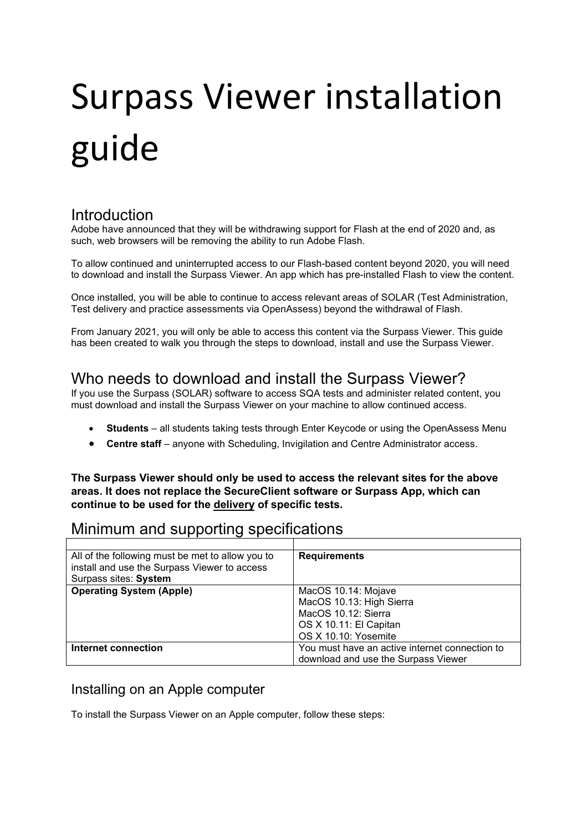# Surpass Viewer installation guide

## Introduction

Adobe have announced that they will be withdrawing support for Flash at the end of 2020 and, as such, web browsers will be removing the ability to run Adobe Flash.

To allow continued and uninterrupted access to our Flash-based content beyond 2020, you will need to download and install the Surpass Viewer. An app which has pre-installed Flash to view the content.

Once installed, you will be able to continue to access relevant areas of SOLAR (Test Administration, Test delivery and practice assessments via OpenAssess) beyond the withdrawal of Flash.

From January 2021, you will only be able to access this content via the Surpass Viewer. This guide has been created to walk you through the steps to download, install and use the Surpass Viewer.

## Who needs to download and install the Surpass Viewer?

If you use the Surpass (SOLAR) software to access SQA tests and administer related content, you must download and install the Surpass Viewer on your machine to allow continued access.

- **Students**  all students taking tests through Enter Keycode or using the OpenAssess Menu
- **Centre staff**  anyone with Scheduling, Invigilation and Centre Administrator access.

**The Surpass Viewer should only be used to access the relevant sites for the above areas. It does not replace the SecureClient software or Surpass App, which can continue to be used for the delivery of specific tests.**

# Minimum and supporting specifications

| All of the following must be met to allow you to | <b>Requirements</b>                            |
|--------------------------------------------------|------------------------------------------------|
| install and use the Surpass Viewer to access     |                                                |
| Surpass sites: System                            |                                                |
| <b>Operating System (Apple)</b>                  | MacOS 10.14: Mojave                            |
|                                                  | MacOS 10.13: High Sierra                       |
|                                                  | MacOS 10.12: Sierra                            |
|                                                  | OS X 10.11: El Capitan                         |
|                                                  | OS X 10.10: Yosemite                           |
| Internet connection                              | You must have an active internet connection to |
|                                                  | download and use the Surpass Viewer            |

### Installing on an Apple computer

To install the Surpass Viewer on an Apple computer, follow these steps: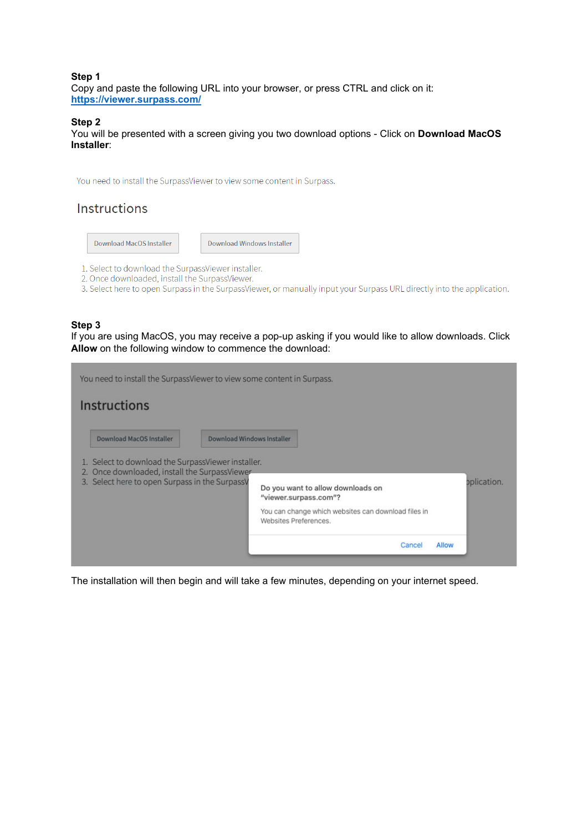#### **Step 1**  Copy and paste the following URL into your browser, or press CTRL and click on it: **<https://viewer.surpass.com/>**

#### **Step 2**

You will be presented with a screen giving you two download options - Click on **Download MacOS Installer**:

You need to install the SurpassViewer to view some content in Surpass.

## Instructions

| Download Windows Installer<br>Download MacOS Installer |  |  |  |
|--------------------------------------------------------|--|--|--|
|--------------------------------------------------------|--|--|--|

- 1. Select to download the SurpassViewer installer.
- 2. Once downloaded, install the SurpassViewer.
- 3. Select here to open Surpass in the SurpassViewer, or manually input your Surpass URL directly into the application.

#### **Step 3**

If you are using MacOS, you may receive a pop-up asking if you would like to allow downloads. Click **Allow** on the following window to commence the download:

| Instructions                                                                                                                                          |                            |                                                                                                                                            |             |
|-------------------------------------------------------------------------------------------------------------------------------------------------------|----------------------------|--------------------------------------------------------------------------------------------------------------------------------------------|-------------|
| <b>Download MacOS Installer</b>                                                                                                                       | Download Windows Installer |                                                                                                                                            |             |
| 1. Select to download the SurpassViewer installer.<br>2. Once downloaded, install the SurpassViewer<br>3. Select here to open Surpass in the SurpassV |                            | Do you want to allow downloads on<br>"viewer.surpass.com"?<br>You can change which websites can download files in<br>Websites Preferences. | oplication. |
|                                                                                                                                                       |                            | Cancel<br>Allow                                                                                                                            |             |

The installation will then begin and will take a few minutes, depending on your internet speed.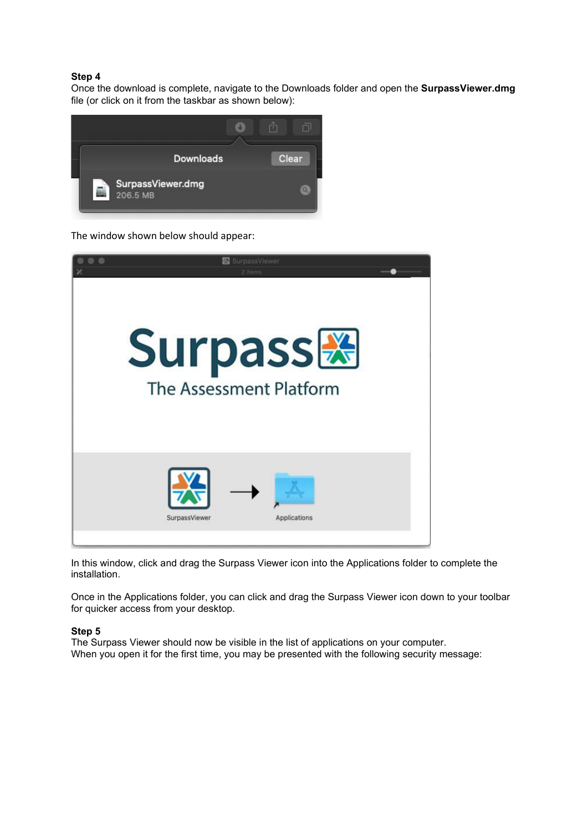#### **Step 4**

Once the download is complete, navigate to the Downloads folder and open the **SurpassViewer.dmg**  file (or click on it from the taskbar as shown below):



The window shown below should appear:



In this window, click and drag the Surpass Viewer icon into the Applications folder to complete the installation.

Once in the Applications folder, you can click and drag the Surpass Viewer icon down to your toolbar for quicker access from your desktop.

#### **Step 5**

The Surpass Viewer should now be visible in the list of applications on your computer. When you open it for the first time, you may be presented with the following security message: